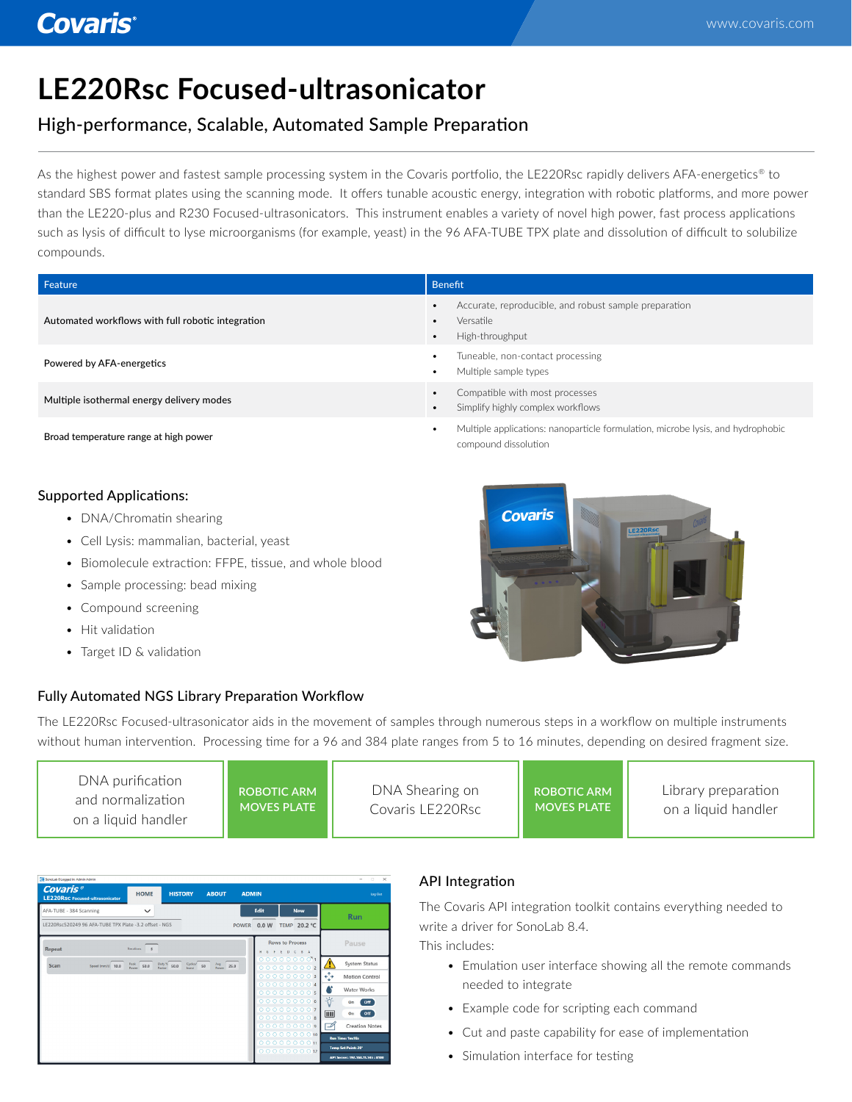# **LE220Rsc Focused-ultrasonicator**

### High-performance, Scalable, Automated Sample Preparation

As the highest power and fastest sample processing system in the Covaris portfolio, the LE220Rsc rapidly delivers AFA-energetics® to standard SBS format plates using the scanning mode. It offers tunable acoustic energy, integration with robotic platforms, and more power than the LE220-plus and R230 Focused-ultrasonicators. This instrument enables a variety of novel high power, fast process applications such as lysis of difficult to lyse microorganisms (for example, yeast) in the 96 AFA-TUBE TPX plate and dissolution of difficult to solubilize compounds.

| Feature                                           | <b>Benefit</b>                                                                                                               |
|---------------------------------------------------|------------------------------------------------------------------------------------------------------------------------------|
| Automated workflows with full robotic integration | Accurate, reproducible, and robust sample preparation<br>$\bullet$<br>Versatile<br>$\bullet$<br>High-throughput<br>$\bullet$ |
| Powered by AFA-energetics                         | Tuneable, non-contact processing<br>$\bullet$<br>Multiple sample types<br>$\bullet$                                          |
| Multiple isothermal energy delivery modes         | Compatible with most processes<br>$\bullet$<br>Simplify highly complex workflows<br>$\bullet$                                |
| Broad temperature range at high power             | Multiple applications: nanoparticle formulation, microbe lysis, and hydrophobic<br>٠<br>compound dissolution                 |

### Supported Applications:

- DNA/Chromatin shearing
- Cell Lysis: mammalian, bacterial, yeast
- Biomolecule extraction: FFPE, tissue, and whole blood
- Sample processing: bead mixing
- Compound screening
- Hit validation
- Target ID & validation

### Fully Automated NGS Library Preparation Workflow

The LE220Rsc Focused-ultrasonicator aids in the movement of samples through numerous steps in a workflow on multiple instruments without human intervention. Processing time for a 96 and 384 plate ranges from 5 to 16 minutes, depending on desired fragment size.

| DNA purification<br>and normalization<br>on a liquid handler | <b>ROBOTIC ARM</b><br><b>MOVES PLATE</b> | DNA Shearing on<br>Covaris LE220Rsc | ROBOTIC ARM<br><b>MOVES PLATE</b> | Library preparation<br>on a liquid handler |
|--------------------------------------------------------------|------------------------------------------|-------------------------------------|-----------------------------------|--------------------------------------------|
|--------------------------------------------------------------|------------------------------------------|-------------------------------------|-----------------------------------|--------------------------------------------|

| 38 SonoLab & Logged in: Admin Admin                            |                        |                                      |                                        |              |       |                                 |                           |                | $\Box$<br>$\times$<br>$\sim$      |
|----------------------------------------------------------------|------------------------|--------------------------------------|----------------------------------------|--------------|-------|---------------------------------|---------------------------|----------------|-----------------------------------|
| Covaris <sup>®</sup><br><b>LE220Rsc</b> Focused-ultrasonicator | <b>HOME</b>            | <b>HISTORY</b>                       | <b>ABOUT</b>                           | <b>ADMIN</b> |       |                                 |                           |                | Log Out                           |
| AFA-TUBE - 384 Scanning                                        | $\checkmark$           |                                      |                                        |              | Edit  |                                 | <b>New</b>                |                | <b>Run</b>                        |
| LE220Rsc520249 96 AFA-TUBE TPX Plate -3.2 offset - NGS         |                        |                                      |                                        | <b>POWER</b> | 0.0 W |                                 | TEMP 20.2 °C              |                |                                   |
| <b>Repeat</b>                                                  | <b>Iterations</b><br>5 |                                      |                                        |              |       | <b>Rows to Process</b><br>EDCBA |                           |                | Pause                             |
| Scan<br>Speed ( $m m/s$ ) 10.0                                 | Peak 50.0              | Duty % 50.0<br>Cycles/ <sub>50</sub> | $\frac{\text{Avg}}{\text{Power}}$ 25.0 |              |       |                                 | 000000001<br>000000002    |                | <b>System Status</b>              |
|                                                                |                        |                                      |                                        |              |       |                                 | 000000003                 | $\leftarrow +$ | <b>Motion Control</b>             |
|                                                                |                        |                                      |                                        |              |       |                                 | 000000004<br>000000005    | ٧              | <b>Water Works</b>                |
|                                                                |                        |                                      |                                        |              |       |                                 | 000000006                 | 岺.             | O <sup>H</sup><br>On              |
|                                                                |                        |                                      |                                        |              |       |                                 | 000000007<br>0000000008   | 圃              | Off<br>On                         |
|                                                                |                        |                                      |                                        |              |       |                                 | 000000009                 | D              | <b>Creation Notes</b>             |
|                                                                |                        |                                      |                                        |              |       |                                 | 00000000010<br>0000000011 |                | <b>Run Time: 1m:18s</b>           |
|                                                                |                        |                                      |                                        |              |       |                                 | 0000000012                |                | <b>Temp Set Point: 20*</b>        |
|                                                                |                        |                                      |                                        |              |       |                                 |                           |                | API Server: 192.168.11.145 : 8100 |

### API Integration

The Covaris API integration toolkit contains everything needed to write a driver for SonoLab 8.4.

This includes:

- Emulation user interface showing all the remote commands needed to integrate
- Example code for scripting each command
- Cut and paste capability for ease of implementation
- Simulation interface for testing